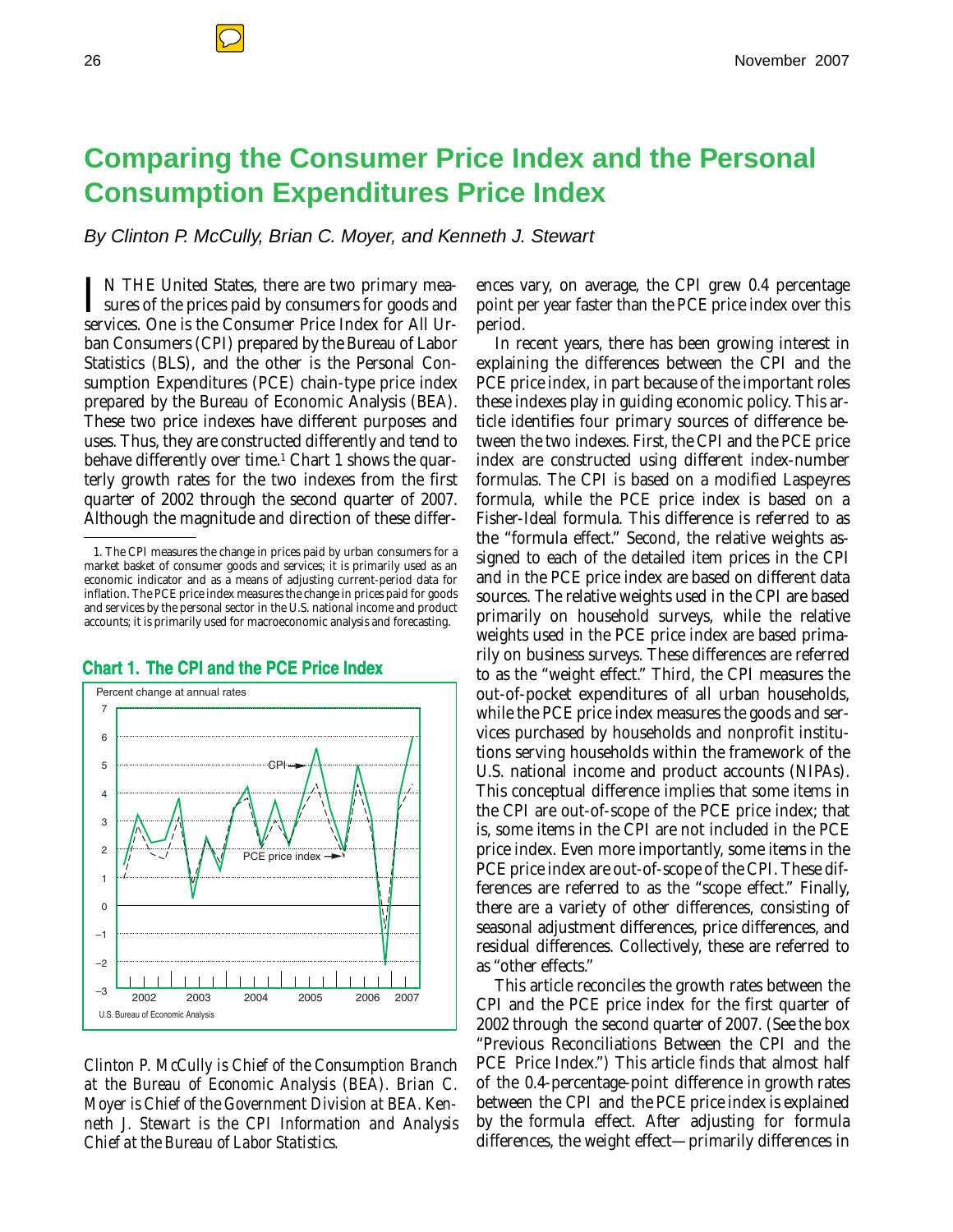# **Comparing the Consumer Price Index and the Personal Consumption Expenditures Price Index**

*By Clinton P. McCully, Brian C. Moyer, and Kenneth J. Stewart* 

IN THE United States, there are two primary measures of the prices paid by consumers for goods and<br>services. One is the Consumer Price Index for All LE services. One is the Consumer Price Index for All Urban Consumers (CPI) prepared by the Bureau of Labor Statistics (BLS), and the other is the Personal Consumption Expenditures (PCE) chain-type price index prepared by the Bureau of Economic Analysis (BEA). These two price indexes have different purposes and uses. Thus, they are constructed differently and tend to behave differently over time.<sup>1</sup> Chart 1 shows the quarterly growth rates for the two indexes from the first quarter of 2002 through the second quarter of 2007. Although the magnitude and direction of these differ-

<sup>1.</sup> The CPI measures the change in prices paid by urban consumers for a market basket of consumer goods and services; it is primarily used as an economic indicator and as a means of adjusting current-period data for inflation. The PCE price index measures the change in prices paid for goods and services by the personal sector in the U.S. national income and product accounts; it is primarily used for macroeconomic analysis and forecasting.



## **Chart 1. The CPI and the PCE Price Index 1.**

*Clinton P. McCully is Chief of the Consumption Branch at the Bureau of Economic Analysis (BEA). Brian C. Moyer is Chief of the Government Division at BEA. Kenneth J. Stewart is the CPI Information and Analysis Chief at the Bureau of Labor Statistics.* 

ences vary, on average, the CPI grew 0.4 percentage point per year faster than the PCE price index over this period.

In recent years, there has been growing interest in explaining the differences between the CPI and the PCE price index, in part because of the important roles these indexes play in guiding economic policy. This article identifies four primary sources of difference between the two indexes. First, the CPI and the PCE price index are constructed using different index-number formulas. The CPI is based on a modified Laspeyres formula, while the PCE price index is based on a Fisher-Ideal formula. This difference is referred to as the "formula effect." Second, the relative weights assigned to each of the detailed item prices in the CPI and in the PCE price index are based on different data sources. The relative weights used in the CPI are based primarily on household surveys, while the relative weights used in the PCE price index are based primarily on business surveys. These differences are referred to as the "weight effect." Third, the CPI measures the out-of-pocket expenditures of all urban households, while the PCE price index measures the goods and services purchased by households and nonprofit institutions serving households within the framework of the U.S. national income and product accounts (NIPAs). This conceptual difference implies that some items in the CPI are out-of-scope of the PCE price index; that is, some items in the CPI are not included in the PCE price index. Even more importantly, some items in the PCE price index are out-of-scope of the CPI. These differences are referred to as the "scope effect." Finally, there are a variety of other differences, consisting of seasonal adjustment differences, price differences, and residual differences. Collectively, these are referred to as "other effects."

This article reconciles the growth rates between the CPI and the PCE price index for the first quarter of 2002 through the second quarter of 2007. (See the box "Previous Reconciliations Between the CPI and the PCE Price Index.") This article finds that almost half of the 0.4-percentage-point difference in growth rates between the CPI and the PCE price index is explained by the formula effect. After adjusting for formula differences, the weight effect—primarily differences in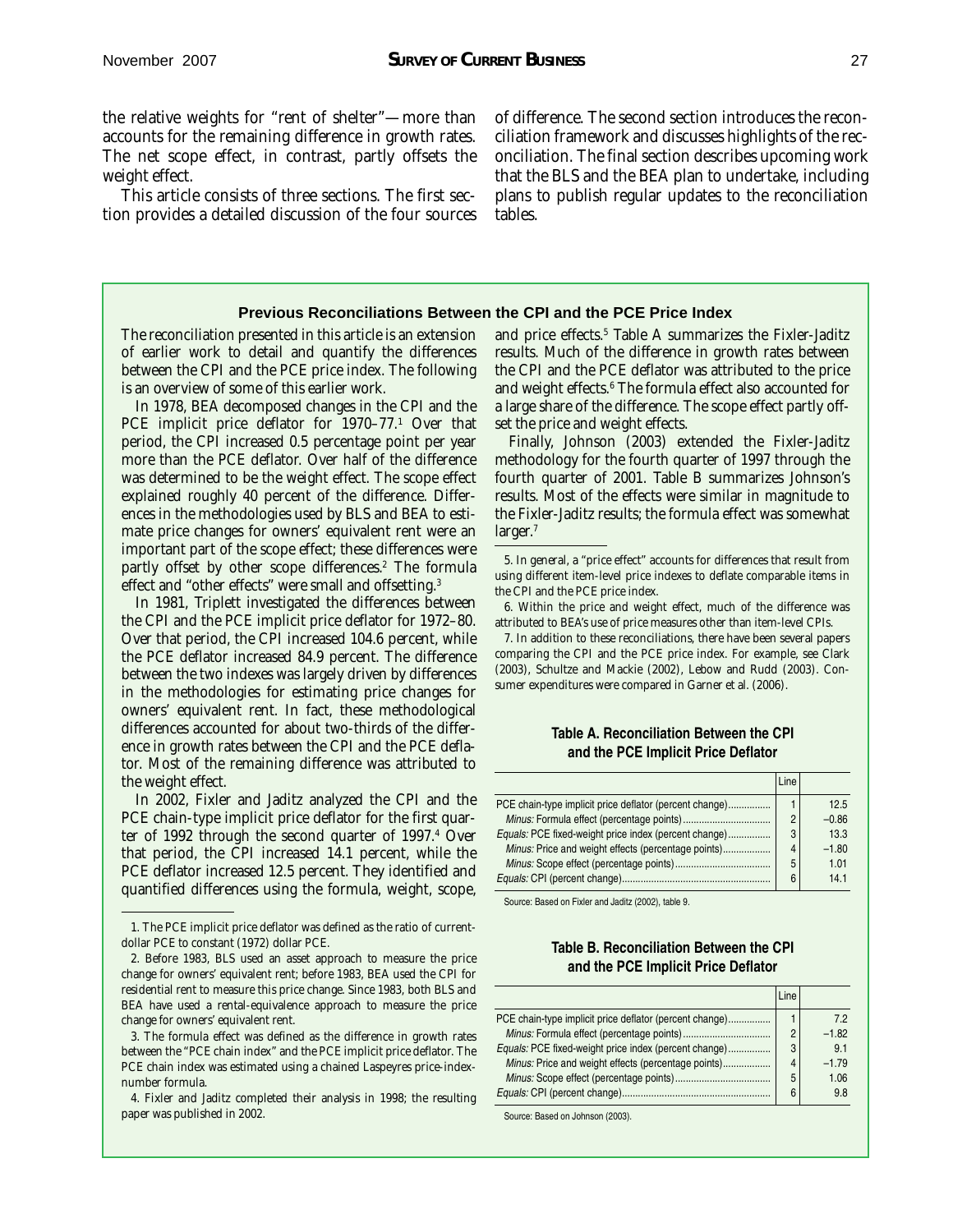tion provides a detailed discussion of the four sources tables.

the relative weights for "rent of shelter"—more than of difference. The second section introduces the recon-<br>accounts for the remaining difference in growth rates. ciliation framework and discusses highlights of the recciliation framework and discusses highlights of the rec-The net scope effect, in contrast, partly offsets the onciliation. The final section describes upcoming work weight effect. The state of that the BLS and the BEA plan to undertake, including This article consists of three sections. The first sec- plans to publish regular updates to the reconciliation

## **Previous Reconciliations Between the CPI and the PCE Price Index**

The reconciliation presented in this article is an extension of earlier work to detail and quantify the differences between the CPI and the PCE price index. The following is an overview of some of this earlier work.

In 1978, BEA decomposed changes in the CPI and the PCE implicit price deflator for 1970–77.1 Over that period, the CPI increased 0.5 percentage point per year more than the PCE deflator. Over half of the difference was determined to be the weight effect. The scope effect explained roughly 40 percent of the difference. Differences in the methodologies used by BLS and BEA to estimate price changes for owners' equivalent rent were an important part of the scope effect; these differences were partly offset by other scope differences.<sup>2</sup> The formula effect and "other effects" were small and offsetting.3

In 1981, Triplett investigated the differences between the CPI and the PCE implicit price deflator for 1972–80. Over that period, the CPI increased 104.6 percent, while the PCE deflator increased 84.9 percent. The difference between the two indexes was largely driven by differences in the methodologies for estimating price changes for owners' equivalent rent. In fact, these methodological differences accounted for about two-thirds of the difference in growth rates between the CPI and the PCE deflator. Most of the remaining difference was attributed to the weight effect.

In 2002, Fixler and Jaditz analyzed the CPI and the PCE chain-type implicit price deflator for the first quarter of 1992 through the second quarter of 1997.<sup>4</sup> Over that period, the CPI increased 14.1 percent, while the PCE deflator increased 12.5 percent. They identified and quantified differences using the formula, weight, scope,

and price effects.5 Table A summarizes the Fixler-Jaditz results. Much of the difference in growth rates between the CPI and the PCE deflator was attributed to the price and weight effects.6 The formula effect also accounted for a large share of the difference. The scope effect partly offset the price and weight effects.

Finally, Johnson (2003) extended the Fixler-Jaditz methodology for the fourth quarter of 1997 through the fourth quarter of 2001. Table B summarizes Johnson's results. Most of the effects were similar in magnitude to the Fixler-Jaditz results; the formula effect was somewhat larger.<sup>7</sup>

5. In general, a "price effect" accounts for differences that result from using different item-level price indexes to deflate comparable items in the CPI and the PCE price index.

7. In addition to these reconciliations, there have been several papers comparing the CPI and the PCE price index. For example, see Clark (2003), Schultze and Mackie (2002), Lebow and Rudd (2003). Consumer expenditures were compared in Garner et al. (2006).

#### **Table A. Reconciliation Between the CPI and the PCE Implicit Price Deflator**

|                                                         | Line |         |
|---------------------------------------------------------|------|---------|
| PCE chain-type implicit price deflator (percent change) |      | 12.5    |
|                                                         | 2    | $-0.86$ |
| Equals: PCE fixed-weight price index (percent change)   | 3    | 13.3    |
|                                                         | 4    | $-1.80$ |
|                                                         | 5    | 1.01    |
|                                                         | 6    | 14.1    |
|                                                         |      |         |

Source: Based on Fixler and Jaditz (2002), table 9.

#### **Table B. Reconciliation Between the CPI and the PCE Implicit Price Deflator**

|                                                         | Line |         |
|---------------------------------------------------------|------|---------|
| PCE chain-type implicit price deflator (percent change) |      | 72      |
|                                                         | 2    | $-1.82$ |
| Equals: PCE fixed-weight price index (percent change)   | 3    | 9.1     |
| Minus: Price and weight effects (percentage points)     | 4    | $-1.79$ |
|                                                         | 5    | 1.06    |
|                                                         | 6    | 9.8     |

<sup>1.</sup> The PCE implicit price deflator was defined as the ratio of currentdollar PCE to constant (1972) dollar PCE.

<sup>2.</sup> Before 1983, BLS used an asset approach to measure the price change for owners' equivalent rent; before 1983, BEA used the CPI for residential rent to measure this price change. Since 1983, both BLS and BEA have used a rental-equivalence approach to measure the price change for owners' equivalent rent.

<sup>3.</sup> The formula effect was defined as the difference in growth rates between the "PCE chain index" and the PCE implicit price deflator. The PCE chain index was estimated using a chained Laspeyres price-indexnumber formula.

<sup>4.</sup> Fixler and Jaditz completed their analysis in 1998; the resulting paper was published in 2002. Source: Based on Johnson (2003). Source: Based on Johnson (2003).

<sup>6.</sup> Within the price and weight effect, much of the difference was attributed to BEA's use of price measures other than item-level CPIs.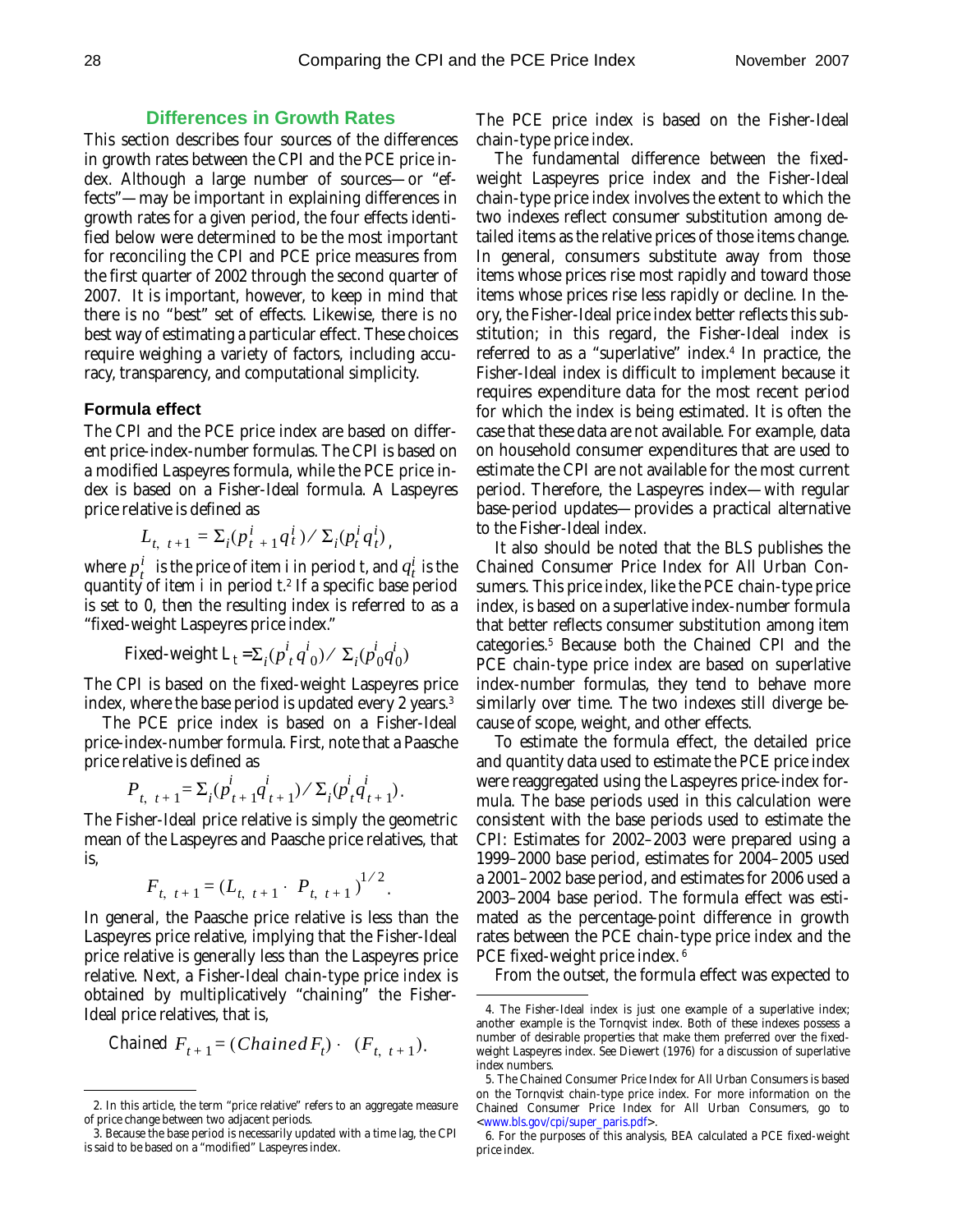# **Differences in Growth Rates**

This section describes four sources of the differences in growth rates between the CPI and the PCE price index. Although a large number of sources—or "effects"—may be important in explaining differences in growth rates for a given period, the four effects identified below were determined to be the most important for reconciling the CPI and PCE price measures from the first quarter of 2002 through the second quarter of 2007. It is important, however, to keep in mind that there is no "best" set of effects. Likewise, there is no best way of estimating a particular effect. These choices require weighing a variety of factors, including accuracy, transparency, and computational simplicity.

### **Formula effect**

The CPI and the PCE price index are based on different price-index-number formulas. The CPI is based on a modified Laspeyres formula, while the PCE price index is based on a Fisher-Ideal formula. A Laspeyres price relative is defined as

$$
L_{t, t+1} = \sum_{i} (p_{t+1}^{i} q_{t}^{i}) / \sum_{i} (p_{t}^{i} q_{t}^{i}),
$$

where  $p_t^i$  is the price of item i in period *t*, and  $q_t^i$  is the quantity of item *i* in period *t*. 2 If a specific base period is set to 0, then the resulting index is referred to as a "fixed-weight Laspeyres price index."

Fixed-weight 
$$
L_t = \sum_i (p^i_t q^i_0) / \sum_i (p^i_0 q^i_0)
$$

The CPI is based on the fixed-weight Laspeyres price index, where the base period is updated every 2 years.<sup>3</sup>

The PCE price index is based on a Fisher-Ideal price-index-number formula. First, note that a Paasche price relative is defined as

$$
P_{t, t+1} = \sum_{i} \left( p_{t+1}^{i} q_{t+1}^{i} \right) / \sum_{i} \left( p_{t}^{i} q_{t+1}^{i} \right).
$$

The Fisher-Ideal price relative is simply the geometric mean of the Laspeyres and Paasche price relatives, that is,

$$
F_{t, t+1} = (L_{t, t+1} \cdot P_{t, t+1})^{1/2}.
$$

In general, the Paasche price relative is less than the Laspeyres price relative, implying that the Fisher-Ideal price relative is generally less than the Laspeyres price relative. Next, a Fisher-Ideal chain-type price index is obtained by multiplicatively "chaining" the Fisher-Ideal price relatives, that is,

$$
Chained\ F_{t+1} = (Chained\ F_t) \cdot \ (F_{t, t+1}).
$$

The PCE price index is based on the Fisher-Ideal chain-type price index.

The fundamental difference between the fixedweight Laspeyres price index and the Fisher-Ideal chain-type price index involves the extent to which the two indexes reflect consumer substitution among detailed items as the relative prices of those items change. In general, consumers substitute away from those items whose prices rise most rapidly and toward those items whose prices rise less rapidly or decline. In theory, the Fisher-Ideal price index better reflects this substitution; in this regard, the Fisher-Ideal index is referred to as a "superlative" index.4 In practice, the Fisher-Ideal index is difficult to implement because it requires expenditure data for the most recent period for which the index is being estimated. It is often the case that these data are not available. For example, data on household consumer expenditures that are used to estimate the CPI are not available for the most current period. Therefore, the Laspeyres index—with regular base-period updates—provides a practical alternative to the Fisher-Ideal index.

It also should be noted that the BLS publishes the Chained Consumer Price Index for All Urban Consumers. This price index, like the PCE chain-type price index, is based on a superlative index-number formula that better reflects consumer substitution among item categories.5 Because both the Chained CPI and the PCE chain-type price index are based on superlative index-number formulas, they tend to behave more similarly over time. The two indexes still diverge because of scope, weight, and other effects.

To estimate the formula effect, the detailed price and quantity data used to estimate the PCE price index were reaggregated using the Laspeyres price-index formula. The base periods used in this calculation were consistent with the base periods used to estimate the CPI: Estimates for 2002–2003 were prepared using a 1999–2000 base period, estimates for 2004–2005 used a 2001–2002 base period, and estimates for 2006 used a 2003–2004 base period. The formula effect was estimated as the percentage-point difference in growth rates between the PCE chain-type price index and the PCE fixed-weight price index. 6

From the outset, the formula effect was expected to

<sup>2.</sup> In this article, the term "price relative" refers to an aggregate measure of price change between two adjacent periods.

<sup>3.</sup> Because the base period is necessarily updated with a time lag, the CPI is said to be based on a "modified" Laspeyres index.

<sup>4.</sup> The Fisher-Ideal index is just one example of a superlative index; another example is the Tornqvist index. Both of these indexes possess a number of desirable properties that make them preferred over the fixedweight Laspeyres index. See Diewert (1976) for a discussion of superlative index numbers.

<sup>5.</sup> The Chained Consumer Price Index for All Urban Consumers is based on the Tornqvist chain-type price index. For more information on the Chained Consumer Price Index for All Urban Consumers, go to <www.bls.gov/cpi/super\_paris.pdf>.

<sup>6.</sup> For the purposes of this analysis, BEA calculated a PCE fixed-weight price index.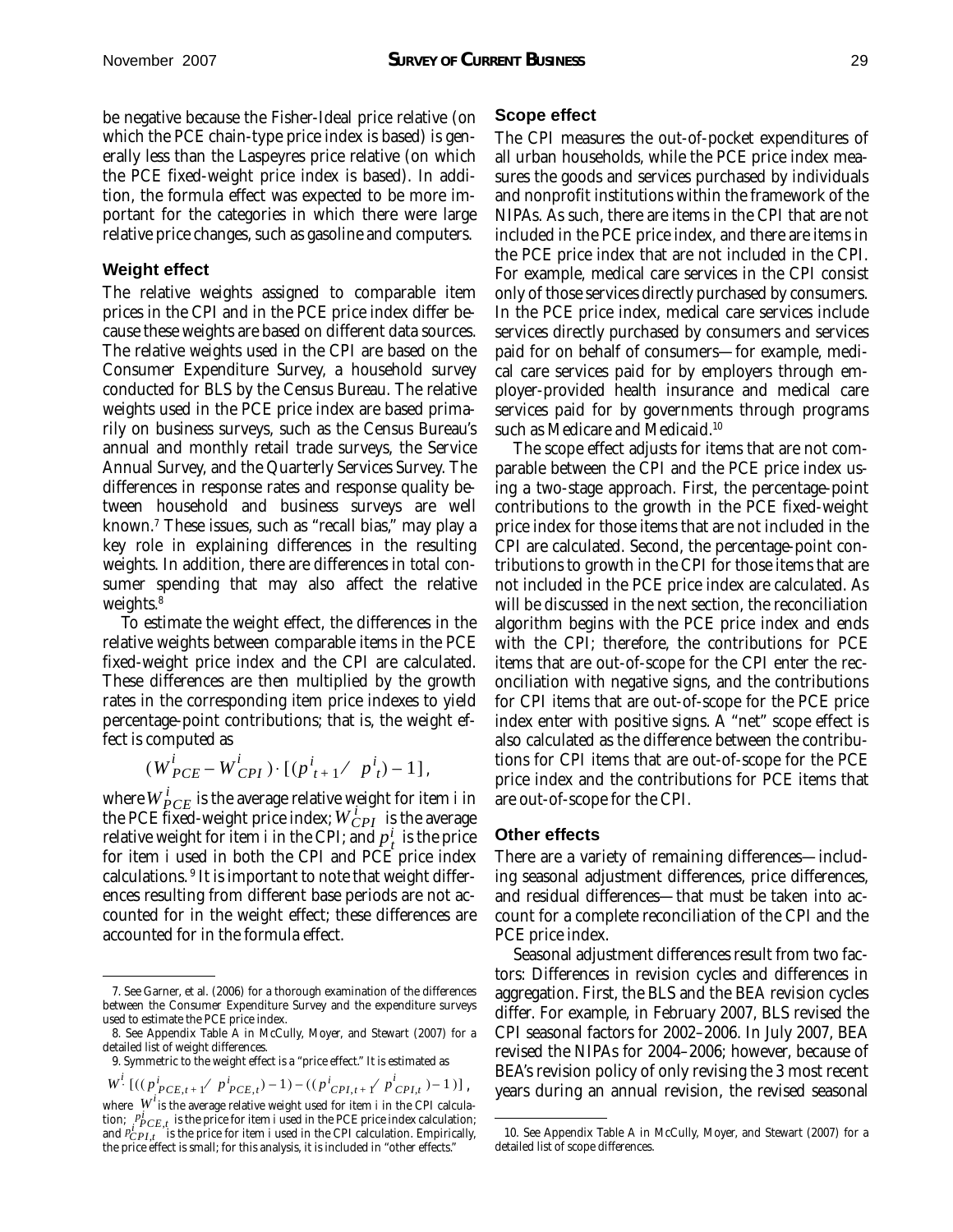be negative because the Fisher-Ideal price relative (on which the PCE chain-type price index is based) is generally less than the Laspeyres price relative (on which the PCE fixed-weight price index is based). In addition, the formula effect was expected to be more important for the categories in which there were large relative price changes, such as gasoline and computers.

### **Weight effect**

The relative weights assigned to comparable item prices in the CPI and in the PCE price index differ because these weights are based on different data sources. The relative weights used in the CPI are based on the Consumer Expenditure Survey, a household survey conducted for BLS by the Census Bureau. The relative weights used in the PCE price index are based primarily on business surveys, such as the Census Bureau's annual and monthly retail trade surveys, the Service Annual Survey, and the Quarterly Services Survey. The differences in response rates and response quality between household and business surveys are well known.7 These issues, such as "recall bias," may play a key role in explaining differences in the resulting weights. In addition, there are differences in *total* consumer spending that may also affect the relative weights.8

To estimate the weight effect, the differences in the relative weights between comparable items in the PCE fixed-weight price index and the CPI are calculated. These differences are then multiplied by the growth rates in the corresponding item price indexes to yield percentage-point contributions; that is, the weight effect is computed as

$$
(W_{PCE}^{i} - W_{CPI}^{i}) \cdot [(p_{t+1}^{i} / p_{t}^{i}) - 1],
$$

where  $W_{PCE}^i$  is the average relative weight for item *i* in the PCE fixed-weight price index;  $W_{\text{CP}I}^{l}$  is the average relative weight for item *i* in the CPI; and  $p_t^i$  is the price for item *i* used in both the CPI and PCE price index calculations. 9 It is important to note that weight differences resulting from different base periods are not accounted for in the weight effect; these differences are accounted for in the formula effect.

 $W^i$  [(( $p^i_{PCE,t+1}$  /  $p^i_{PCE,t}$ ) – 1) – (( $p^i_{CPI,t+1}$  /  $p^i_{CPI,t}$ ) – 1)], where  $W^i$  is the average relative weight used for item *i* in the CPI calculation;  $P^i_{PCE,t}$  is the price for item *i* used in the PCE price index calculation; and  $\frac{p}{P_c}P_{L,t}$ , is the price for item *i* used in the CPI calculation. Empirically, the price effect is small; for this analysis, it is included in "other effects."

## **Scope effect**

The CPI measures the out-of-pocket expenditures of all urban households, while the PCE price index measures the goods and services purchased by individuals and nonprofit institutions within the framework of the NIPAs. As such, there are items in the CPI that are not included in the PCE price index, and there are items in the PCE price index that are not included in the CPI. For example, medical care services in the CPI consist only of those services directly purchased by consumers. In the PCE price index, medical care services include services directly purchased by consumers *and* services paid for on behalf of consumers—for example, medical care services paid for by employers through employer-provided health insurance and medical care services paid for by governments through programs such as Medicare and Medicaid.10

The scope effect adjusts for items that are not comparable between the CPI and the PCE price index using a two-stage approach. First, the percentage-point contributions to the growth in the PCE fixed-weight price index for those items that are not included in the CPI are calculated. Second, the percentage-point contributions to growth in the CPI for those items that are not included in the PCE price index are calculated. As will be discussed in the next section, the reconciliation algorithm begins with the PCE price index and ends with the CPI; therefore, the contributions for PCE items that are out-of-scope for the CPI enter the reconciliation with negative signs, and the contributions for CPI items that are out-of-scope for the PCE price index enter with positive signs. A "net" scope effect is also calculated as the difference between the contributions for CPI items that are out-of-scope for the PCE price index and the contributions for PCE items that are out-of-scope for the CPI.

#### **Other effects**

There are a variety of remaining differences—including seasonal adjustment differences, price differences, and residual differences—that must be taken into account for a complete reconciliation of the CPI and the PCE price index.

Seasonal adjustment differences result from two factors: Differences in revision cycles and differences in aggregation. First, the BLS and the BEA revision cycles differ. For example, in February 2007, BLS revised the CPI seasonal factors for 2002–2006. In July 2007, BEA revised the NIPAs for 2004–2006; however, because of BEA's revision policy of only revising the 3 most recent years during an annual revision, the revised seasonal

<sup>7.</sup> See Garner, et al. (2006) for a thorough examination of the differences between the Consumer Expenditure Survey and the expenditure surveys used to estimate the PCE price index.

<sup>8.</sup> See Appendix Table A in McCully, Moyer, and Stewart (2007) for a detailed list of weight differences.

<sup>9.</sup> Symmetric to the weight effect is a "price effect." It is estimated as

<sup>10.</sup> See Appendix Table A in McCully, Moyer, and Stewart (2007) for a detailed list of scope differences.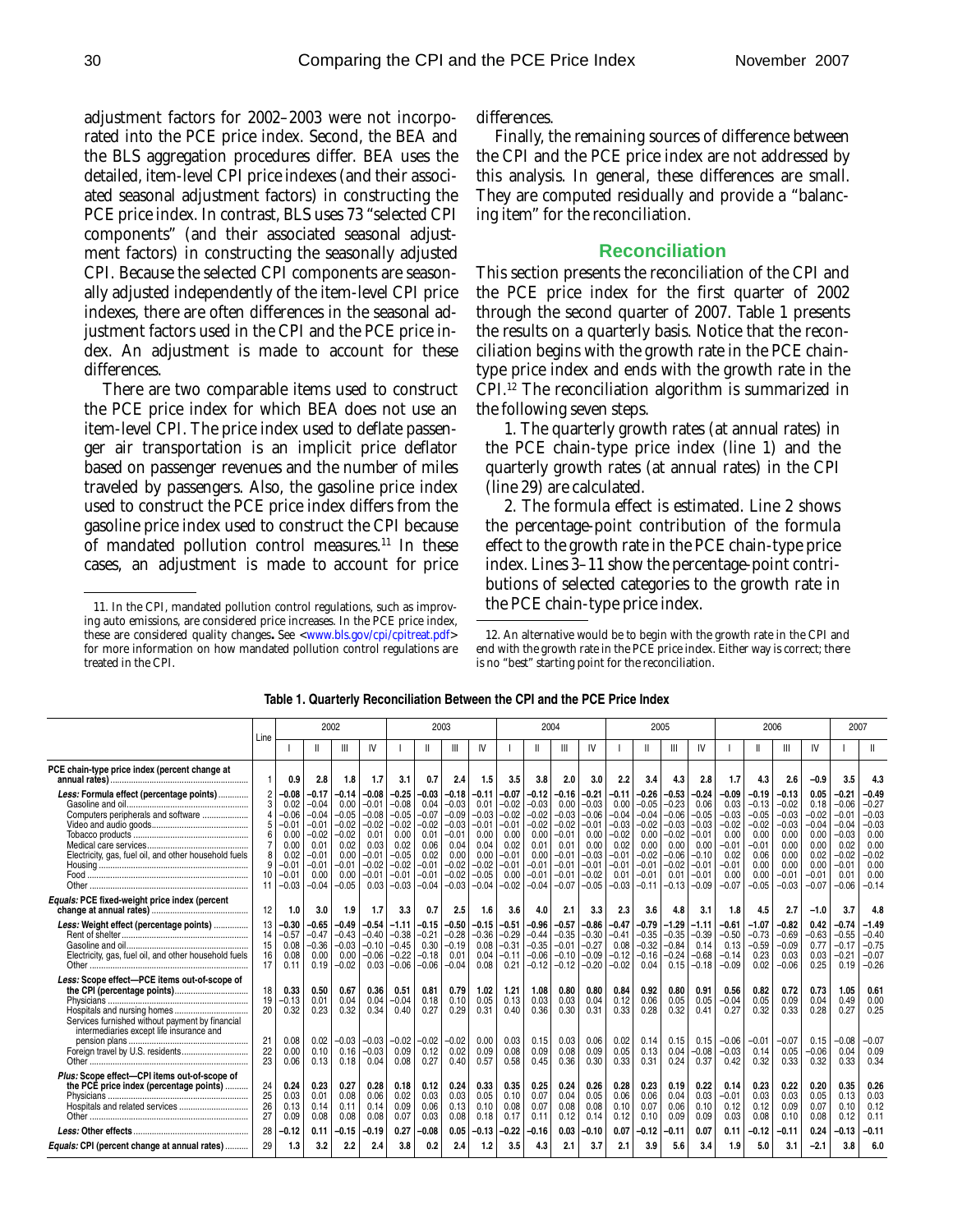adjustment factors for 2002–2003 were not incorporated into the PCE price index. Second, the BEA and the BLS aggregation procedures differ. BEA uses the detailed, item-level CPI price indexes (and their associated seasonal adjustment factors) in constructing the PCE price index. In contrast, BLS uses 73 "selected CPI components" (and their associated seasonal adjustment factors) in constructing the seasonally adjusted CPI. Because the selected CPI components are seasonally adjusted independently of the item-level CPI price indexes, there are often differences in the seasonal adjustment factors used in the CPI and the PCE price index. An adjustment is made to account for these differences.

There are two comparable items used to construct the PCE price index for which BEA does not use an item-level CPI. The price index used to deflate passenger air transportation is an implicit price deflator based on passenger revenues and the number of miles traveled by passengers. Also, the gasoline price index used to construct the PCE price index differs from the gasoline price index used to construct the CPI because of mandated pollution control measures.<sup>11</sup> In these cases, an adjustment is made to account for price

differences.

Finally, the remaining sources of difference between the CPI and the PCE price index are not addressed by this analysis. In general, these differences are small. They are computed residually and provide a "balancing item" for the reconciliation.

# **Reconciliation**

This section presents the reconciliation of the CPI and the PCE price index for the first quarter of 2002 through the second quarter of 2007. Table 1 presents the results on a quarterly basis. Notice that the reconciliation begins with the growth rate in the PCE chaintype price index and ends with the growth rate in the CPI.12 The reconciliation algorithm is summarized in the following seven steps.

1. The quarterly growth rates (at annual rates) in the PCE chain-type price index (line 1) and the quarterly growth rates (at annual rates) in the CPI (line 29) are calculated.

2. The formula effect is estimated. Line 2 shows the percentage-point contribution of the formula effect to the growth rate in the PCE chain-type price index. Lines 3–11 show the percentage-point contributions of selected categories to the growth rate in the PCE chain-type price index.

<sup>12.</sup> An alternative would be to begin with the growth rate in the CPI and end with the growth rate in the PCE price index. Either way is correct; there is no "best" starting point for the reconciliation.

|                                                                                                                                             |                            | 2002                                                                                           |                                                                                                      |                                                                                                |                                                                                                   | 2003                                                                                                 |                                                                                                |                                                                                                    |                                                                                              | 2004                                                                                              |                                                                                                   |                                                                                                      |                                                                                                      | 2005                                                                                              |                                                                                                    |                                                                                                      |                                                                                                      | 2006                                                                                           |                                                                                                |                                                                                              |                                                                                          | 2007                                                                                                 |                                                                                                |
|---------------------------------------------------------------------------------------------------------------------------------------------|----------------------------|------------------------------------------------------------------------------------------------|------------------------------------------------------------------------------------------------------|------------------------------------------------------------------------------------------------|---------------------------------------------------------------------------------------------------|------------------------------------------------------------------------------------------------------|------------------------------------------------------------------------------------------------|----------------------------------------------------------------------------------------------------|----------------------------------------------------------------------------------------------|---------------------------------------------------------------------------------------------------|---------------------------------------------------------------------------------------------------|------------------------------------------------------------------------------------------------------|------------------------------------------------------------------------------------------------------|---------------------------------------------------------------------------------------------------|----------------------------------------------------------------------------------------------------|------------------------------------------------------------------------------------------------------|------------------------------------------------------------------------------------------------------|------------------------------------------------------------------------------------------------|------------------------------------------------------------------------------------------------|----------------------------------------------------------------------------------------------|------------------------------------------------------------------------------------------|------------------------------------------------------------------------------------------------------|------------------------------------------------------------------------------------------------|
|                                                                                                                                             | Line                       |                                                                                                | Ш                                                                                                    |                                                                                                | IV                                                                                                |                                                                                                      |                                                                                                | Ш                                                                                                  | IV                                                                                           |                                                                                                   |                                                                                                   |                                                                                                      | IV                                                                                                   |                                                                                                   |                                                                                                    | Ш                                                                                                    | IV                                                                                                   |                                                                                                | ш                                                                                              | Ш                                                                                            | IV                                                                                       |                                                                                                      |                                                                                                |
| PCE chain-type price index (percent change at                                                                                               |                            | 0.9                                                                                            | 2.8                                                                                                  | 1.8                                                                                            | 1.7                                                                                               | 3.1                                                                                                  | 0.7                                                                                            | 2.4                                                                                                | 1.5                                                                                          | 3.5                                                                                               | 3.8                                                                                               | 2.0                                                                                                  | 3.0                                                                                                  | 2.2                                                                                               | 3.4                                                                                                | 4.3                                                                                                  | 2.8                                                                                                  | 1.7                                                                                            | 4.3                                                                                            | 2.6                                                                                          | $-0.9$                                                                                   | 3.5                                                                                                  | 4.3                                                                                            |
| Less: Formula effect (percentage points)<br>Computers peripherals and software<br>Electricity, gas, fuel oil, and other household fuels     | 6<br>9<br>10<br>11         | $-0.08$<br>0.02<br>$-0.06$<br>$-0.01$<br>0.00<br>0.00<br>0.02<br>$-0.01$<br>$-0.01$<br>$-0.03$ | $-0.17$<br>$-0.04$<br>$-0.04$<br>$-0.01$<br>$-0.02$<br>0.01<br>$-0.01$<br>$-0.01$<br>0.00<br>$-0.04$ | $-0.14$<br>0.00<br>$-0.05$<br>$-0.02$<br>$-0.02$<br>0.02<br>0.00<br>$-0.01$<br>0.00<br>$-0.05$ | $-0.08$<br>$-0.01$<br>$-0.08$<br>$-0.02$<br>0.01<br>0.03<br>$-0.01$<br>$-0.02$<br>$-0.01$<br>0.03 | $-0.25$<br>$-0.08$<br>$-0.05$<br>$-0.02$<br>0.00<br>0.02<br>$-0.05$<br>$-0.02$<br>$-0.01$<br>$-0.03$ | $-0.03$<br>0.04<br>$-0.07$<br>$-0.02$<br>0.01<br>0.06<br>0.02<br>$-0.01$<br>$-0.01$<br>$-0.04$ | -0.18<br>$-0.03$<br>$-0.09$<br>$-0.03$<br>$-0.01$<br>0.04<br>0.00<br>$-0.02$<br>$-0.02$<br>$-0.03$ | -0.11<br>0.01<br>$-0.03$<br>$-0.01$<br>0.00<br>0.04<br>0.00<br>$-0.02$<br>$-0.05$<br>$-0.04$ | $-0.07$<br>$-0.02$<br>$-0.02$<br>$-0.01$<br>0.00<br>0.02<br>$-0.01$<br>$-0.01$<br>0.00<br>$-0.02$ | $-0.12$<br>$-0.03$<br>$-0.02$<br>$-0.02$<br>0.00<br>0.01<br>0.00<br>$-0.01$<br>$-0.01$<br>$-0.04$ | $-0.16$<br>0.00<br>$-0.03$<br>$-0.02$<br>$-0.01$<br>0.01<br>$-0.01$<br>$-0.01$<br>$-0.01$<br>$-0.07$ | $-0.21$<br>$-0.03$<br>$-0.06$<br>$-0.01$<br>0.00<br>0.00<br>$-0.03$<br>$-0.01$<br>$-0.02$<br>$-0.05$ | $-0.11$<br>0.00<br>$-0.04$<br>$-0.03$<br>$-0.02$<br>0.02<br>$-0.01$<br>$-0.01$<br>0.01<br>$-0.03$ | -0.26<br>$-0.05$<br>$-0.04$<br>$-0.02$<br>0.00<br>0.00<br>$-0.02$<br>$-0.01$<br>$-0.01$<br>$-0.11$ | $-0.53$<br>$-0.23$<br>$-0.06$<br>$-0.03$<br>$-0.02$<br>0.00<br>$-0.06$<br>$-0.02$<br>0.01<br>$-0.13$ | $-0.24$<br>0.06<br>$-0.05$<br>$-0.03$<br>$-0.01$<br>0.00<br>$-0.10$<br>$-0.01$<br>$-0.01$<br>$-0.09$ | $-0.09$<br>0.03<br>$-0.03$<br>$-0.02$<br>0.00<br>$-0.01$<br>0.02<br>$-0.01$<br>0.00<br>$-0.07$ | $-0.19$<br>$-0.13$<br>$-0.05$<br>$-0.02$<br>0.00<br>$-0.01$<br>0.06<br>0.00<br>0.00<br>$-0.05$ | -0.13<br>$-0.02$<br>$-0.03$<br>$-0.03$<br>0.00<br>0.00<br>0.00<br>0.00<br>$-0.01$<br>$-0.03$ | 0.05<br>0.18<br>$-0.02$<br>$-0.04$<br>0.00<br>0.00<br>0.02<br>0.00<br>$-0.01$<br>$-0.07$ | $-0.21$<br>$-0.06$<br>$-0.01$<br>$-0.04$<br>$-0.03$<br>0.02<br>$-0.02$<br>$-0.01$<br>0.01<br>$-0.06$ | $-0.49$<br>$-0.27$<br>$-0.03$<br>$-0.03$<br>0.00<br>0.00<br>$-0.02$<br>0.00<br>0.00<br>$-0.14$ |
| Equals: PCE fixed-weight price index (percent                                                                                               | 12                         | 1.0                                                                                            | 3.0                                                                                                  | 1.9                                                                                            | 1.7                                                                                               | 3.3                                                                                                  | 0.7                                                                                            | 2.5                                                                                                | 1.6                                                                                          | 3.6                                                                                               | 4.0                                                                                               | 2.1                                                                                                  | 3.3                                                                                                  | 2.3                                                                                               | 3.6                                                                                                | 4.8                                                                                                  | 3.1                                                                                                  | 1.8                                                                                            | 4.5                                                                                            | 2.7                                                                                          | $-1.0$                                                                                   | 3.7                                                                                                  | 4.8                                                                                            |
| Less: Weight effect (percentage points)<br>Electricity, gas, fuel oil, and other household fuels                                            | 13<br>14<br>15<br>16<br>17 | -0.30<br>$-0.57$<br>0.08<br>0.08<br>0.11                                                       | -0.65<br>$-0.47$<br>$-0.36$<br>0.00<br>0.19                                                          | -0.49<br>$-0.43$<br>$-0.03$<br>0.00<br>$-0.02$                                                 | $-0.54$<br>$-0.40$<br>$-0.10$<br>$-0.06$<br>0.03                                                  | -1.11<br>$-0.38$<br>$-0.45$<br>$-0.22$<br>$-0.06$                                                    | $-0.15$<br>$-0.21$<br>0.30<br>$-0.18$<br>$-0.06$                                               | -0.50<br>$-0.28$<br>$-0.19$<br>$0.0^{\circ}$<br>$-0.04$                                            | -0.15<br>$-0.36$<br>0.08<br>0.04<br>0.08                                                     | $-0.51$<br>$-0.29$<br>$-0.31$<br>$-0.11$<br>0.21                                                  | -0.96<br>$-0.44$<br>$-0.35$<br>$-0.06$<br>$-0.12$                                                 | $-0.57$<br>$-0.35$<br>$-0.01$<br>$-0.10$<br>$-0.12$                                                  | $-0.86$<br>$-0.30$<br>$-0.27$<br>$-0.09$<br>$-0.20$                                                  | $-0.47$<br>$-0.41$<br>0.08<br>$-0.12$<br>$-0.02$                                                  | -0.79<br>$-0.35$<br>$-0.32$<br>$-0.16$<br>0.04                                                     | $-1.29$<br>$-0.35$<br>$-0.84$<br>$-0.24$<br>0.15                                                     | -1.11<br>$-0.39$<br>0.14<br>$-0.68$<br>$-0.18$                                                       | $-0.61$<br>$-0.50$<br>0.13<br>$-0.14$<br>$-0.09$                                               | $-1.07$<br>$-0.73$<br>$-0.59$<br>0.23<br>0.02                                                  | $-0.82$<br>$-0.69$<br>$-0.09$<br>0.03<br>$-0.06$                                             | 0.42<br>$-0.63$<br>0.77<br>0.03<br>0.25                                                  | $-0.74$<br>$-0.55$<br>$-0.17$<br>$-0.21$<br>0.19                                                     | $-1.49$<br>$-0.40$<br>$-0.75$<br>$-0.07$<br>$-0.26$                                            |
| Less: Scope effect-PCE items out-of-scope of<br>Services furnished without payment by financial<br>intermediaries except life insurance and | 18<br>19<br>20             | 0.33<br>$-0.13$<br>0.32                                                                        | 0.50<br>0.01<br>0.23                                                                                 | 0.67<br>0.04<br>0.32                                                                           | 0.36<br>0.04<br>0.34                                                                              | 0.51<br>$-0.04$<br>0.40                                                                              | 0.81<br>0.18<br>0.27                                                                           | 0.79<br>0.10<br>0.29                                                                               | 1.02<br>0.05<br>0.31                                                                         | 1.21<br>0.13<br>0.40                                                                              | 1.08<br>0.03<br>0.36                                                                              | 0.80<br>0.03<br>0.30                                                                                 | 0.80<br>0.04<br>0.31                                                                                 | 0.84<br>0.12<br>0.33                                                                              | 0.92<br>0.06<br>0.28                                                                               | 0.80<br>0.05<br>0.32                                                                                 | 0.91<br>0.05<br>0.41                                                                                 | 0.56<br>$-0.04$<br>0.27                                                                        | 0.82<br>0.05<br>0.32                                                                           | 0.72<br>0.09<br>0.33                                                                         | 0.73<br>0.04<br>0.28                                                                     | 1.05<br>0.49<br>0.27                                                                                 | 0.61<br>0.00<br>0.25                                                                           |
|                                                                                                                                             | $2^{\circ}$<br>22<br>23    | 0.08<br>0.00<br>0.06                                                                           | 0.02<br>0.10<br>0.13                                                                                 | $-0.03$<br>0.16<br>0.18                                                                        | $-0.03$<br>$-0.03$<br>0.04                                                                        | $-0.02$<br>0.09<br>0.08                                                                              | $-0.02$<br>0.12<br>0.27                                                                        | $-0.02$<br>0.02<br>0.40                                                                            | 0.00<br>0.09<br>0.57                                                                         | 0.03<br>0.08<br>0.58                                                                              | 0.15<br>0.09<br>0.45                                                                              | 0.03<br>0.08<br>0.36                                                                                 | 0.06<br>0.09<br>0.30                                                                                 | 0.02<br>0.05<br>0.33                                                                              | 0.14<br>0.13<br>0.31                                                                               | 0.15<br>0.04<br>0.24                                                                                 | 0.15<br>$-0.08$<br>0.37                                                                              | $-0.06$<br>$-0.03$<br>0.42                                                                     | $-0.01$<br>0.14<br>0.32                                                                        | $-0.07$<br>0.05<br>0.33                                                                      | 0.15<br>$-0.06$<br>0.32                                                                  | $-0.08$<br>0.04<br>0.33                                                                              | $-0.07$<br>0.09<br>0.34                                                                        |
| Plus: Scope effect-CPI items out-of-scope of<br>the PCE price index (percentage points)                                                     | 24<br>25<br>26<br>27       | 0.24<br>0.03<br>0.13<br>0.09                                                                   | 0.23<br>0.01<br>0.14<br>0.08                                                                         | 0.27<br>0.08<br>0.11<br>0.08                                                                   | 0.28<br>0.06<br>0.14<br>0.08                                                                      | 0.18<br>0.02<br>0.09<br>0.07                                                                         | 0.12<br>0.03<br>0.06<br>0.03                                                                   | 0.24<br>0.03<br>0.13<br>0.08                                                                       | 0.33<br>0.05<br>0.10<br>0.18                                                                 | 0.35<br>0.10<br>0.08<br>0.17                                                                      | 0.25<br>0.07<br>0.07<br>0.11                                                                      | 0.24<br>0.04<br>0.08<br>0.12                                                                         | 0.26<br>0.05<br>0.08<br>0.14                                                                         | 0.28<br>0.06<br>0.10<br>0.12                                                                      | 0.23<br>0.06<br>0.07<br>0.10                                                                       | 0.19<br>0.04<br>0.06<br>0.09                                                                         | 0.22<br>0.03<br>0.10<br>0.09                                                                         | 0.14<br>$-0.01$<br>0.12<br>0.03                                                                | 0.23<br>0.03<br>0.12<br>0.08                                                                   | 0.22<br>0.03<br>0.09<br>0.10                                                                 | 0.20<br>0.05<br>0.07<br>0.08                                                             | 0.35<br>0.13<br>0.10<br>0.12                                                                         | 0.26<br>0.03<br>0.12<br>0.11                                                                   |
| Equals: CPI (percent change at annual rates)                                                                                                | 28<br>29                   | -0.12<br>1.3                                                                                   | 0.11<br>3.2                                                                                          | $-0.15$<br>2.2                                                                                 | $-0.19$<br>2.4                                                                                    | 0.27<br>3.8                                                                                          | $-0.08$<br>0.2                                                                                 | 0.05<br>2.4                                                                                        | $-0.13$<br>1.2                                                                               | $-0.22$<br>3.5                                                                                    | -0.16<br>4.3                                                                                      | 0.03<br>2.1                                                                                          | -0.10<br>3.7                                                                                         | 0.07<br>2.1                                                                                       | -0.12<br>3.9                                                                                       | $-0.11$<br>5.6                                                                                       | 0.07<br>3.4                                                                                          | 0.11<br>1.9                                                                                    | $-0.12$<br>5.0                                                                                 | $-0.11$<br>3.1                                                                               | 0.24<br>$-2.1$                                                                           | -0.13<br>3.8                                                                                         | $-0.11$<br>6.0                                                                                 |

**Table 1. Quarterly Reconciliation Between the CPI and the PCE Price Index** 

<sup>11.</sup> In the CPI, mandated pollution control regulations, such as improving auto emissions, are considered price increases. In the PCE price index, these are considered quality changes**.** See <www.bls.gov/cpi/cpitreat.pdf> for more information on how mandated pollution control regulations are treated in the CPI.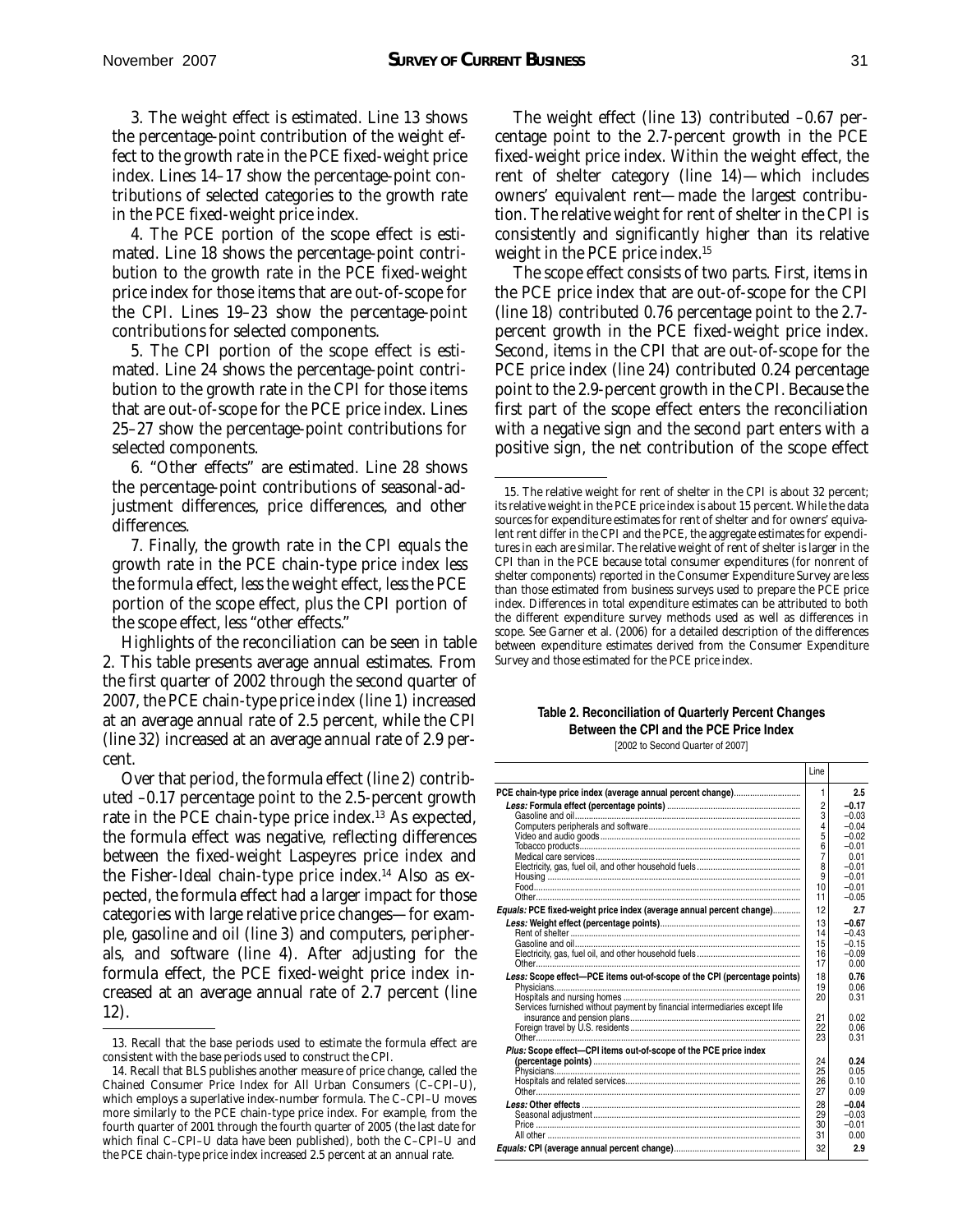3. The weight effect is estimated. Line 13 shows the percentage-point contribution of the weight effect to the growth rate in the PCE fixed-weight price index. Lines 14–17 show the percentage-point contributions of selected categories to the growth rate in the PCE fixed-weight price index.

4. The PCE portion of the scope effect is estimated. Line 18 shows the percentage-point contribution to the growth rate in the PCE fixed-weight price index for those items that are out-of-scope for the CPI. Lines 19–23 show the percentage-point contributions for selected components.

5. The CPI portion of the scope effect is estimated. Line 24 shows the percentage-point contribution to the growth rate in the CPI for those items that are out-of-scope for the PCE price index. Lines 25–27 show the percentage-point contributions for selected components.

6. "Other effects" are estimated. Line 28 shows the percentage-point contributions of seasonal-adjustment differences, price differences, and other differences.

7. Finally, the growth rate in the CPI *equals* the growth rate in the PCE chain-type price index *less*  the formula effect, *less* the weight effect, *less* the PCE portion of the scope effect, *plus* the CPI portion of the scope effect, *less* "other effects."

Highlights of the reconciliation can be seen in table 2. This table presents average annual estimates. From the first quarter of 2002 through the second quarter of 2007, the PCE chain-type price index (line 1) increased at an average annual rate of 2.5 percent, while the CPI (line 32) increased at an average annual rate of 2.9 percent.

Over that period, the formula effect (line 2) contributed –0.17 percentage point to the 2.5-percent growth rate in the PCE chain-type price index.<sup>13</sup> As expected, the formula effect was negative, reflecting differences between the fixed-weight Laspeyres price index and the Fisher-Ideal chain-type price index.14 Also as expected, the formula effect had a larger impact for those categories with large relative price changes—for example, gasoline and oil (line 3) and computers, peripherals, and software (line 4). After adjusting for the formula effect, the PCE fixed-weight price index increased at an average annual rate of 2.7 percent (line 12).

The weight effect (line 13) contributed –0.67 percentage point to the 2.7-percent growth in the PCE fixed-weight price index. Within the weight effect, the rent of shelter category (line 14)—which includes owners' equivalent rent—made the largest contribution. The relative weight for rent of shelter in the CPI is consistently and significantly higher than its relative weight in the PCE price index.15

The scope effect consists of two parts. First, items in the PCE price index that are out-of-scope for the CPI (line 18) contributed 0.76 percentage point to the 2.7 percent growth in the PCE fixed-weight price index. Second, items in the CPI that are out-of-scope for the PCE price index (line 24) contributed 0.24 percentage point to the 2.9-percent growth in the CPI. Because the first part of the scope effect enters the reconciliation with a negative sign and the second part enters with a positive sign, the net contribution of the scope effect

# **Table 2. Reconciliation of Quarterly Percent Changes Between the CPI and the PCE Price Index**

[2002 to Second Quarter of 2007]

Line

|                                                                            | Line           |         |
|----------------------------------------------------------------------------|----------------|---------|
| PCE chain-type price index (average annual percent change)                 | 1              | 2.5     |
|                                                                            | $\overline{c}$ | $-0.17$ |
|                                                                            | 3              | $-0.03$ |
|                                                                            | 4              | $-0.04$ |
|                                                                            | 5              | $-0.02$ |
|                                                                            | 6              | $-0.01$ |
|                                                                            | 7              | 0.01    |
|                                                                            | 8              | $-0.01$ |
|                                                                            | 9              | $-0.01$ |
|                                                                            | 10             | $-0.01$ |
|                                                                            | 11             | $-0.05$ |
| Equals: PCE fixed-weight price index (average annual percent change)       | 12             | 2.7     |
|                                                                            | 13             | $-0.67$ |
|                                                                            | 14             | $-0.43$ |
|                                                                            | 15             | $-0.15$ |
|                                                                            | 16             | $-0.09$ |
|                                                                            | 17             | 0.00    |
| Less: Scope effect-PCE items out-of-scope of the CPI (percentage points)   | 18             | 0.76    |
|                                                                            | 19             | 0.06    |
|                                                                            | 20             | 0.31    |
| Services furnished without payment by financial intermediaries except life |                |         |
|                                                                            | 21             | 0.02    |
|                                                                            | 22             | 0.06    |
|                                                                            | 23             | 0.31    |
| Plus: Scope effect-CPI items out-of-scope of the PCE price index           |                |         |
|                                                                            | 24             | 0.24    |
|                                                                            | 25             | 0.05    |
|                                                                            | 26             | 0.10    |
|                                                                            | 27             | 0.09    |
|                                                                            | 28             | $-0.04$ |
|                                                                            | 29             | $-0.03$ |
|                                                                            | 30             | $-0.01$ |
|                                                                            | 31             | 0.00    |
|                                                                            | 32             | 2.9     |
|                                                                            |                |         |

<sup>13.</sup> Recall that the base periods used to estimate the formula effect are consistent with the base periods used to construct the CPI.

<sup>14.</sup> Recall that BLS publishes another measure of price change, called the Chained Consumer Price Index for All Urban Consumers (C–CPI–U), which employs a superlative index-number formula. The C–CPI–U moves more similarly to the PCE chain-type price index. For example, from the fourth quarter of 2001 through the fourth quarter of 2005 (the last date for which final C–CPI–U data have been published), both the C–CPI–U and the PCE chain-type price index increased 2.5 percent at an annual rate.

<sup>15.</sup> The relative weight for rent of shelter in the CPI is about 32 percent; its relative weight in the PCE price index is about 15 percent. While the data sources for expenditure estimates for rent of shelter and for owners' equivalent rent differ in the CPI and the PCE, the aggregate estimates for expenditures in each are similar. The relative weight of rent of shelter is larger in the CPI than in the PCE because total consumer expenditures (for nonrent of shelter components) reported in the Consumer Expenditure Survey are less than those estimated from business surveys used to prepare the PCE price index. Differences in total expenditure estimates can be attributed to both the different expenditure survey methods used as well as differences in scope. See Garner et al. (2006) for a detailed description of the differences between expenditure estimates derived from the Consumer Expenditure Survey and those estimated for the PCE price index.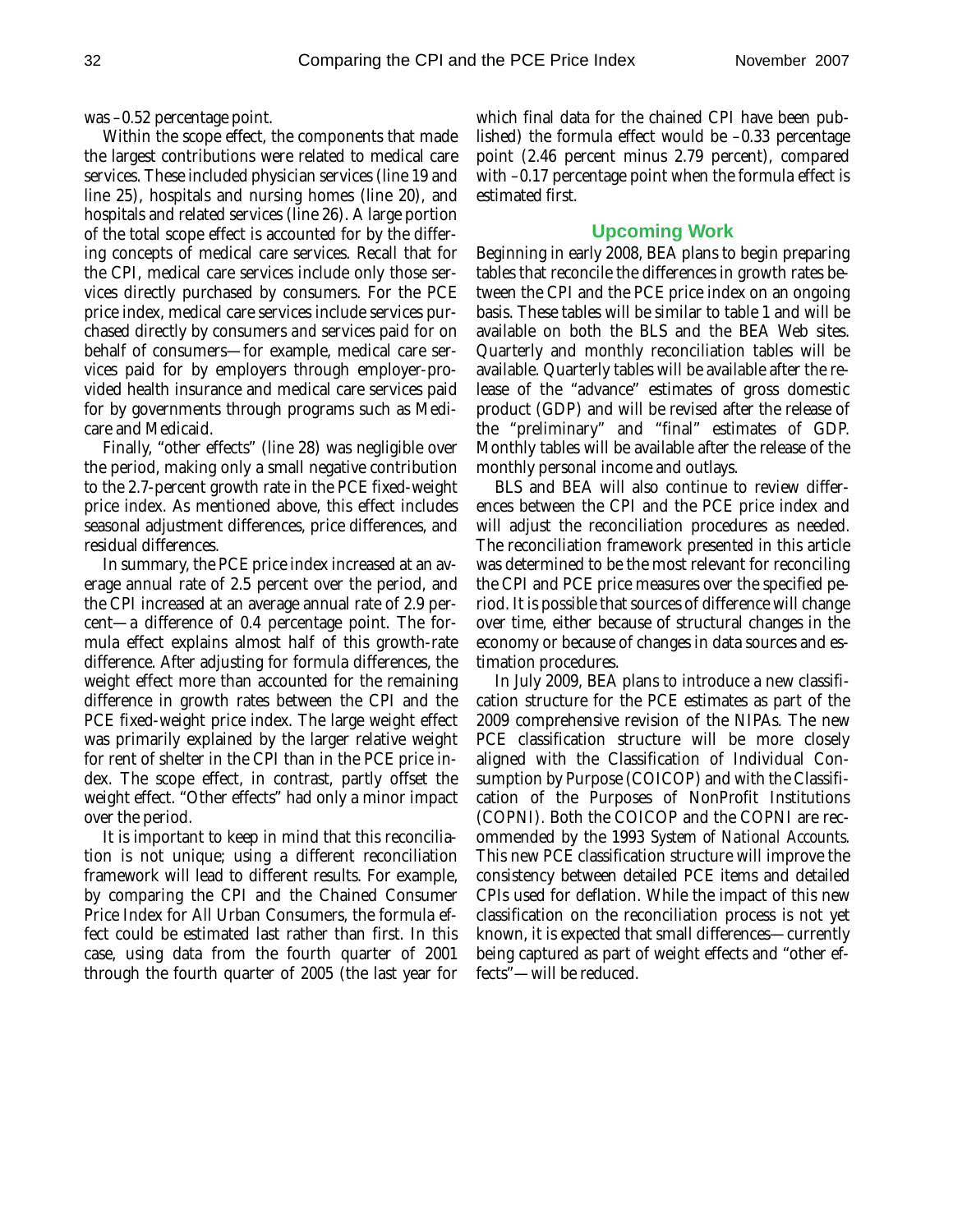was –0.52 percentage point.

Within the scope effect, the components that made the largest contributions were related to medical care services. These included physician services (line 19 and line 25), hospitals and nursing homes (line 20), and hospitals and related services (line 26). A large portion of the total scope effect is accounted for by the differing concepts of medical care services. Recall that for the CPI, medical care services include only those services directly purchased by consumers. For the PCE price index, medical care services include services purchased directly by consumers *and* services paid for on behalf of consumers—for example, medical care services paid for by employers through employer-provided health insurance and medical care services paid for by governments through programs such as Medicare and Medicaid.

Finally, "other effects" (line 28) was negligible over the period, making only a small negative contribution to the 2.7-percent growth rate in the PCE fixed-weight price index. As mentioned above, this effect includes seasonal adjustment differences, price differences, and residual differences.

In summary, the PCE price index increased at an average annual rate of 2.5 percent over the period, and the CPI increased at an average annual rate of 2.9 percent—a difference of 0.4 percentage point. The formula effect explains almost half of this growth-rate difference. After adjusting for formula differences, the weight effect more than accounted for the remaining difference in growth rates between the CPI and the PCE fixed-weight price index. The large weight effect was primarily explained by the larger relative weight for rent of shelter in the CPI than in the PCE price index. The scope effect, in contrast, partly offset the weight effect. "Other effects" had only a minor impact over the period.

It is important to keep in mind that this reconciliation is not unique; using a different reconciliation framework will lead to different results. For example, by comparing the CPI and the Chained Consumer Price Index for All Urban Consumers, the formula effect could be estimated last rather than first. In this case, using data from the fourth quarter of 2001 through the fourth quarter of 2005 (the last year for

which final data for the chained CPI have been published) the formula effect would be –0.33 percentage point (2.46 percent minus 2.79 percent), compared with –0.17 percentage point when the formula effect is estimated first.

#### **Upcoming Work**

Beginning in early 2008, BEA plans to begin preparing tables that reconcile the differences in growth rates between the CPI and the PCE price index on an ongoing basis. These tables will be similar to table 1 and will be available on both the BLS and the BEA Web sites. Quarterly and monthly reconciliation tables will be available. Quarterly tables will be available after the release of the "advance" estimates of gross domestic product (GDP) and will be revised after the release of the "preliminary" and "final" estimates of GDP. Monthly tables will be available after the release of the monthly personal income and outlays.

BLS and BEA will also continue to review differences between the CPI and the PCE price index and will adjust the reconciliation procedures as needed. The reconciliation framework presented in this article was determined to be the most relevant for reconciling the CPI and PCE price measures over the specified period. It is possible that sources of difference will change over time, either because of structural changes in the economy or because of changes in data sources and estimation procedures.

In July 2009, BEA plans to introduce a new classification structure for the PCE estimates as part of the 2009 comprehensive revision of the NIPAs. The new PCE classification structure will be more closely aligned with the Classification of Individual Consumption by Purpose (COICOP) and with the Classification of the Purposes of NonProfit Institutions (COPNI). Both the COICOP and the COPNI are recommended by the 1993 *System of National Accounts*. This new PCE classification structure will improve the consistency between detailed PCE items and detailed CPIs used for deflation. While the impact of this new classification on the reconciliation process is not yet known, it is expected that small differences—currently being captured as part of weight effects and "other effects"—will be reduced.